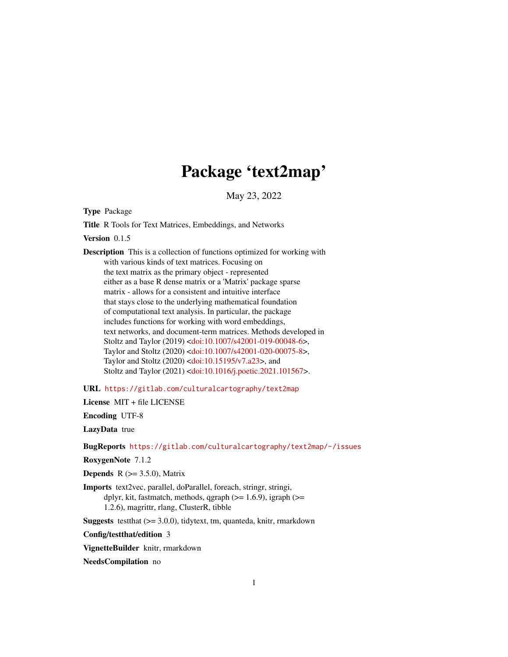# Package 'text2map'

May 23, 2022

Type Package

Title R Tools for Text Matrices, Embeddings, and Networks

Version 0.1.5

Description This is a collection of functions optimized for working with with various kinds of text matrices. Focusing on the text matrix as the primary object - represented either as a base R dense matrix or a 'Matrix' package sparse matrix - allows for a consistent and intuitive interface that stays close to the underlying mathematical foundation of computational text analysis. In particular, the package includes functions for working with word embeddings, text networks, and document-term matrices. Methods developed in Stoltz and Taylor (2019) [<doi:10.1007/s42001-019-00048-6>](https://doi.org/10.1007/s42001-019-00048-6), Taylor and Stoltz (2020) [<doi:10.1007/s42001-020-00075-8>](https://doi.org/10.1007/s42001-020-00075-8), Taylor and Stoltz (2020) [<doi:10.15195/v7.a23>](https://doi.org/10.15195/v7.a23), and Stoltz and Taylor (2021) [<doi:10.1016/j.poetic.2021.101567>](https://doi.org/10.1016/j.poetic.2021.101567).

URL <https://gitlab.com/culturalcartography/text2map>

License MIT + file LICENSE

Encoding UTF-8

LazyData true

BugReports <https://gitlab.com/culturalcartography/text2map/-/issues>

RoxygenNote 7.1.2

**Depends** R  $(>= 3.5.0)$ , Matrix

Imports text2vec, parallel, doParallel, foreach, stringr, stringi, dplyr, kit, fastmatch, methods, qgraph  $(>= 1.6.9)$ , igraph  $(>=$ 1.2.6), magrittr, rlang, ClusterR, tibble

**Suggests** test that  $(>= 3.0.0)$ , tidytext, tm, quanteda, knitr, rmarkdown

Config/testthat/edition 3

VignetteBuilder knitr, rmarkdown

NeedsCompilation no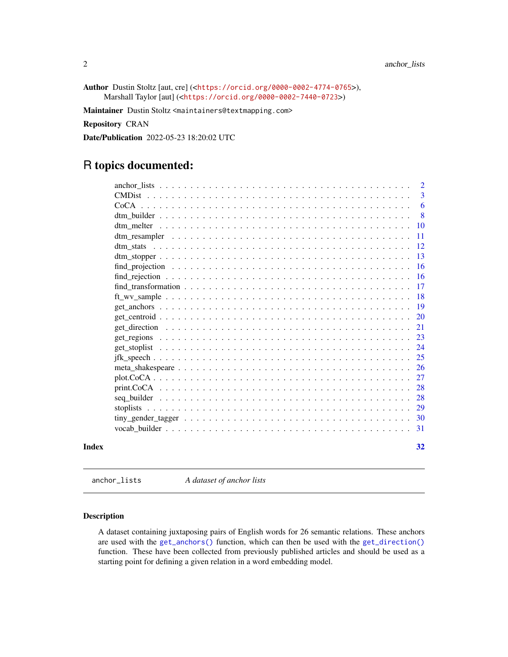<span id="page-1-0"></span>2 anchor\_lists

Author Dustin Stoltz [aut, cre] (<<https://orcid.org/0000-0002-4774-0765>>), Marshall Taylor [aut] (<<https://orcid.org/0000-0002-7440-0723>>)

Maintainer Dustin Stoltz <maintainers@textmapping.com>

Repository CRAN

Date/Publication 2022-05-23 18:20:02 UTC

## R topics documented:

|       |                                                                                                                    | 2             |
|-------|--------------------------------------------------------------------------------------------------------------------|---------------|
|       |                                                                                                                    | 3             |
|       |                                                                                                                    | 6             |
|       |                                                                                                                    | -8            |
|       |                                                                                                                    | 10            |
|       |                                                                                                                    | 11            |
|       |                                                                                                                    | <sup>12</sup> |
|       |                                                                                                                    | 13            |
|       | $find\_projection \dots \dots \dots \dots \dots \dots \dots \dots \dots \dots \dots \dots \dots \dots \dots \dots$ | <b>16</b>     |
|       |                                                                                                                    | 16            |
|       |                                                                                                                    | 17            |
|       |                                                                                                                    | <b>18</b>     |
|       |                                                                                                                    | 19            |
|       |                                                                                                                    | 20            |
|       |                                                                                                                    | 21            |
|       |                                                                                                                    | 23            |
|       |                                                                                                                    | 24            |
|       |                                                                                                                    | 25            |
|       |                                                                                                                    | 26            |
|       |                                                                                                                    | 27            |
|       |                                                                                                                    | 28            |
|       |                                                                                                                    | 28            |
|       |                                                                                                                    | 29            |
|       |                                                                                                                    | 30            |
|       |                                                                                                                    | 31            |
|       |                                                                                                                    |               |
| Index |                                                                                                                    | 32            |
|       |                                                                                                                    |               |

anchor\_lists *A dataset of anchor lists*

#### Description

A dataset containing juxtaposing pairs of English words for 26 semantic relations. These anchors are used with the [get\\_anchors\(\)](#page-18-1) function, which can then be used with the [get\\_direction\(\)](#page-20-1) function. These have been collected from previously published articles and should be used as a starting point for defining a given relation in a word embedding model.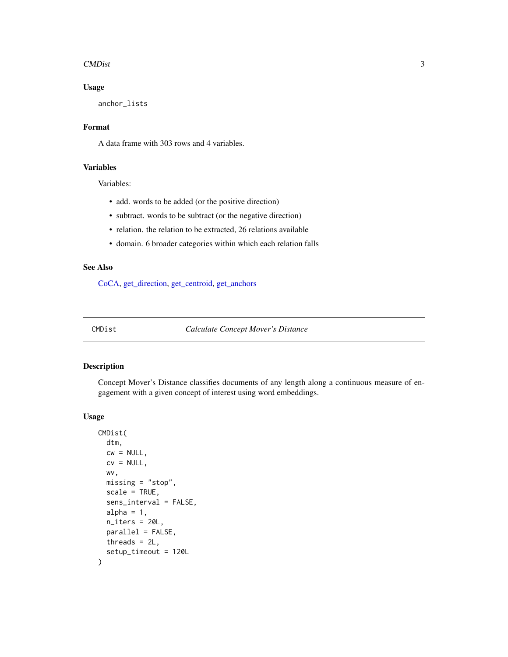#### <span id="page-2-0"></span> $\epsilon$  CMD is two states of  $\epsilon$  3

#### Usage

anchor\_lists

#### Format

A data frame with 303 rows and 4 variables.

#### Variables

Variables:

- add. words to be added (or the positive direction)
- subtract. words to be subtract (or the negative direction)
- relation. the relation to be extracted, 26 relations available
- domain. 6 broader categories within which each relation falls

#### See Also

[CoCA,](#page-5-1) [get\\_direction,](#page-20-1) [get\\_centroid,](#page-19-1) [get\\_anchors](#page-18-1)

<span id="page-2-1"></span>CMDist *Calculate Concept Mover's Distance*

#### Description

Concept Mover's Distance classifies documents of any length along a continuous measure of engagement with a given concept of interest using word embeddings.

#### Usage

```
CMDist(
 dtm,
  cw = NULL,cv = NULL,wv,
 missing = "stop",
  scale = TRUE,
  sens_interval = FALSE,
  alpha = 1,
 n\_iters = 20L,
 parallel = FALSE,
 threads = 2L,
  setup_timeout = 120L
)
```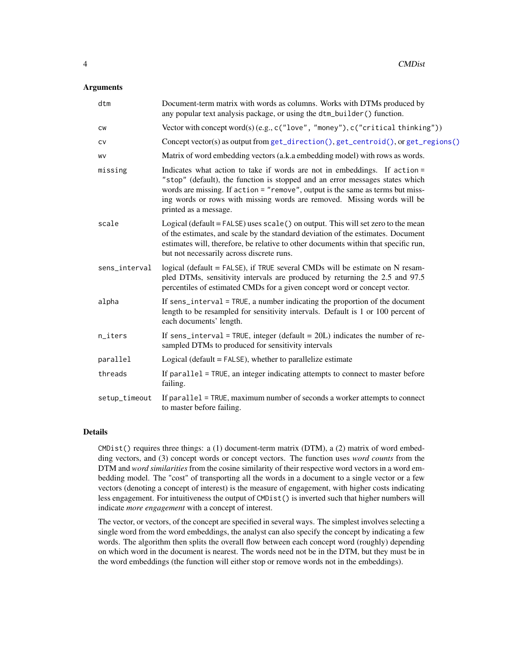#### <span id="page-3-0"></span>**Arguments**

| dtm           | Document-term matrix with words as columns. Works with DTMs produced by<br>any popular text analysis package, or using the dtm_builder() function.                                                                                                                                                                                              |
|---------------|-------------------------------------------------------------------------------------------------------------------------------------------------------------------------------------------------------------------------------------------------------------------------------------------------------------------------------------------------|
| <b>CW</b>     | Vector with concept word(s) $(e.g., c("love", "money"), c("critical thinking"))$                                                                                                                                                                                                                                                                |
| <b>CV</b>     | Concept vector(s) as output from $get\_direction()$ , $get\_centroid()$ , or $get\_regions()$                                                                                                                                                                                                                                                   |
| WV            | Matrix of word embedding vectors (a.k.a embedding model) with rows as words.                                                                                                                                                                                                                                                                    |
| missing       | Indicates what action to take if words are not in embeddings. If action =<br>"stop" (default), the function is stopped and an error messages states which<br>words are missing. If action = "remove", output is the same as terms but miss-<br>ing words or rows with missing words are removed. Missing words will be<br>printed as a message. |
| scale         | Logical (default = $FALSE$ ) uses $scale()$ on output. This will set zero to the mean<br>of the estimates, and scale by the standard deviation of the estimates. Document<br>estimates will, therefore, be relative to other documents within that specific run,<br>but not necessarily across discrete runs.                                   |
| sens_interval | logical (default = FALSE), if TRUE several CMDs will be estimate on N resam-<br>pled DTMs, sensitivity intervals are produced by returning the 2.5 and 97.5<br>percentiles of estimated CMDs for a given concept word or concept vector.                                                                                                        |
| alpha         | If sens_interval = TRUE, a number indicating the proportion of the document<br>length to be resampled for sensitivity intervals. Default is 1 or 100 percent of<br>each documents' length.                                                                                                                                                      |
| n_iters       | If sens_interval = TRUE, integer (default = $20L$ ) indicates the number of re-<br>sampled DTMs to produced for sensitivity intervals                                                                                                                                                                                                           |
| parallel      | Logical (default $=$ FALSE), whether to parallelize estimate                                                                                                                                                                                                                                                                                    |
| threads       | If parallel = TRUE, an integer indicating attempts to connect to master before<br>failing.                                                                                                                                                                                                                                                      |
| setup_timeout | If parallel = TRUE, maximum number of seconds a worker attempts to connect<br>to master before failing.                                                                                                                                                                                                                                         |

#### Details

CMDist() requires three things: a  $(1)$  document-term matrix  $(DTM)$ , a  $(2)$  matrix of word embedding vectors, and (3) concept words or concept vectors. The function uses *word counts* from the DTM and *word similarities* from the cosine similarity of their respective word vectors in a word embedding model. The "cost" of transporting all the words in a document to a single vector or a few vectors (denoting a concept of interest) is the measure of engagement, with higher costs indicating less engagement. For intuitiveness the output of CMDist() is inverted such that higher numbers will indicate *more engagement* with a concept of interest.

The vector, or vectors, of the concept are specified in several ways. The simplest involves selecting a single word from the word embeddings, the analyst can also specify the concept by indicating a few words. The algorithm then splits the overall flow between each concept word (roughly) depending on which word in the document is nearest. The words need not be in the DTM, but they must be in the word embeddings (the function will either stop or remove words not in the embeddings).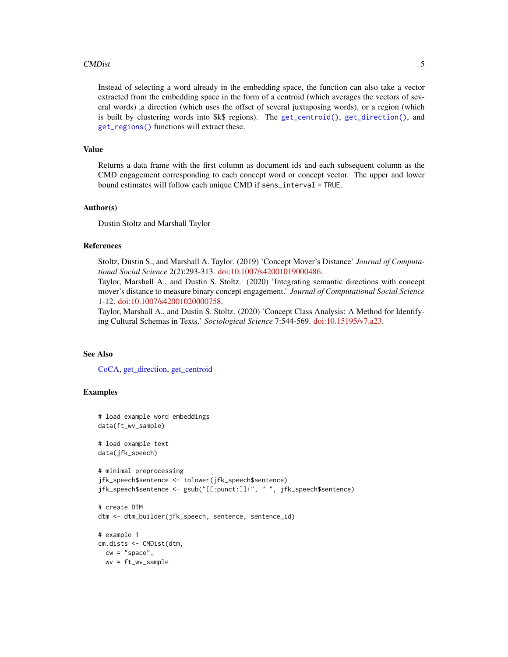#### <span id="page-4-0"></span>CMD is two states of the contract of the contract of the contract of the contract of the contract of the contract of the contract of the contract of the contract of the contract of the contract of the contract of the contr

Instead of selecting a word already in the embedding space, the function can also take a vector extracted from the embedding space in the form of a centroid (which averages the vectors of several words) ,a direction (which uses the offset of several juxtaposing words), or a region (which is built by clustering words into \$k\$ regions). The [get\\_centroid\(\)](#page-19-1), [get\\_direction\(\)](#page-20-1), and [get\\_regions\(\)](#page-22-1) functions will extract these.

#### Value

Returns a data frame with the first column as document ids and each subsequent column as the CMD engagement corresponding to each concept word or concept vector. The upper and lower bound estimates will follow each unique CMD if sens\_interval = TRUE.

#### Author(s)

Dustin Stoltz and Marshall Taylor

#### References

Stoltz, Dustin S., and Marshall A. Taylor. (2019) 'Concept Mover's Distance' *Journal of Computational Social Science* 2(2):293-313. [doi:10.1007/s42001019000486.](https://doi.org/10.1007/s42001-019-00048-6)

Taylor, Marshall A., and Dustin S. Stoltz. (2020) 'Integrating semantic directions with concept mover's distance to measure binary concept engagement.' *Journal of Computational Social Science* 1-12. [doi:10.1007/s42001020000758.](https://doi.org/10.1007/s42001-020-00075-8)

Taylor, Marshall A., and Dustin S. Stoltz. (2020) 'Concept Class Analysis: A Method for Identifying Cultural Schemas in Texts.' *Sociological Science* 7:544-569. [doi:10.15195/v7.a23.](https://doi.org/10.15195/v7.a23)

#### See Also

[CoCA,](#page-5-1) [get\\_direction,](#page-20-1) [get\\_centroid](#page-19-1)

#### Examples

```
# load example word embeddings
data(ft_wv_sample)
# load example text
data(jfk_speech)
# minimal preprocessing
jfk_speech$sentence <- tolower(jfk_speech$sentence)
jfk_speech$sentence <- gsub("[[:punct:]]+", " ", jfk_speech$sentence)
# create DTM
dtm <- dtm_builder(jfk_speech, sentence, sentence_id)
# example 1
cm.dists <- CMDist(dtm,
 cw = "space",wv = ft_wv_sample
```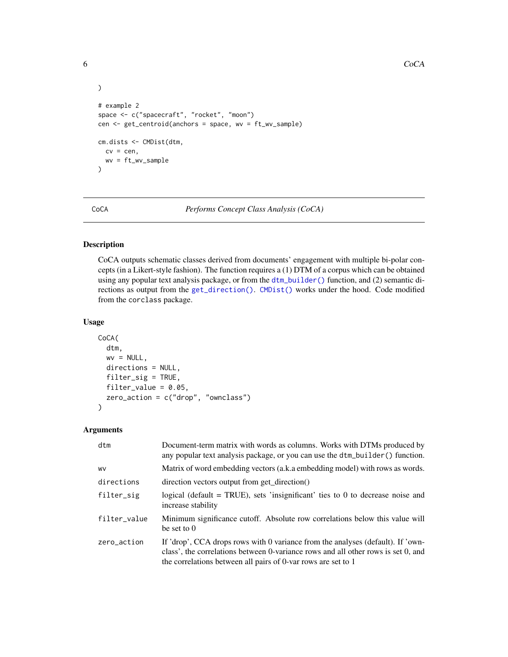```
\mathcal{L}# example 2
space <- c("spacecraft", "rocket", "moon")
cen <- get_centroid(anchors = space, wv = ft_wv_sample)
cm.dists <- CMDist(dtm,
  cv = cen,wv = ft_wv_sample
\overline{\phantom{a}}
```
<span id="page-5-1"></span>

CoCA *Performs Concept Class Analysis (CoCA)*

#### Description

CoCA outputs schematic classes derived from documents' engagement with multiple bi-polar concepts (in a Likert-style fashion). The function requires a (1) DTM of a corpus which can be obtained using any popular text analysis package, or from the [dtm\\_builder\(\)](#page-7-1) function, and (2) semantic directions as output from the [get\\_direction\(\)](#page-20-1). [CMDist\(\)](#page-2-1) works under the hood. Code modified from the corclass package.

#### Usage

```
CoCA(
  dtm,
 wv = NULL,directions = NULL,
  filter_sig = TRUE,
  filter_value = 0.05,
  zero_action = c("drop", "ownclass")
)
```
#### Arguments

| dtm          | Document-term matrix with words as columns. Works with DTMs produced by<br>any popular text analysis package, or you can use the dtm_builder() function.                                                                              |
|--------------|---------------------------------------------------------------------------------------------------------------------------------------------------------------------------------------------------------------------------------------|
| WV           | Matrix of word embedding vectors (a.k.a embedding model) with rows as words.                                                                                                                                                          |
| directions   | direction vectors output from get direction()                                                                                                                                                                                         |
| filter_sig   | logical (default = TRUE), sets 'insignificant' ties to 0 to decrease noise and<br>increase stability                                                                                                                                  |
| filter_value | Minimum significance cutoff. Absolute row correlations below this value will<br>be set to $0$                                                                                                                                         |
| zero action  | If 'drop', CCA drops rows with 0 variance from the analyses (default). If 'own-<br>class', the correlations between 0-variance rows and all other rows is set 0, and<br>the correlations between all pairs of 0-var rows are set to 1 |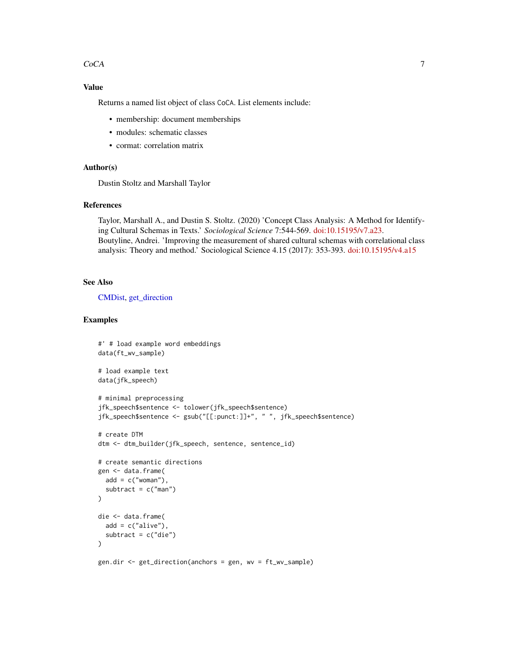#### <span id="page-6-0"></span> $CoCA$   $7$

#### Value

Returns a named list object of class CoCA. List elements include:

- membership: document memberships
- modules: schematic classes
- cormat: correlation matrix

#### Author(s)

Dustin Stoltz and Marshall Taylor

#### References

Taylor, Marshall A., and Dustin S. Stoltz. (2020) 'Concept Class Analysis: A Method for Identifying Cultural Schemas in Texts.' *Sociological Science* 7:544-569. [doi:10.15195/v7.a23.](https://doi.org/10.15195/v7.a23) Boutyline, Andrei. 'Improving the measurement of shared cultural schemas with correlational class analysis: Theory and method.' Sociological Science 4.15 (2017): 353-393. [doi:10.15195/v4.a15](https://doi.org/10.15195/v4.a15)

#### See Also

[CMDist,](#page-2-1) [get\\_direction](#page-20-1)

#### Examples

```
#' # load example word embeddings
data(ft_wv_sample)
# load example text
data(jfk_speech)
# minimal preprocessing
jfk_speech$sentence <- tolower(jfk_speech$sentence)
jfk_speech$sentence <- gsub("[[:punct:]]+", " ", jfk_speech$sentence)
# create DTM
dtm <- dtm_builder(jfk_speech, sentence, sentence_id)
# create semantic directions
gen <- data.frame(
  add = c("woman"),subtract = c("man"))
die <- data.frame(
  add = c("alive"),subtract = c("die"))
gen.dir <- get_direction(anchors = gen, wv = ft_wv_sample)
```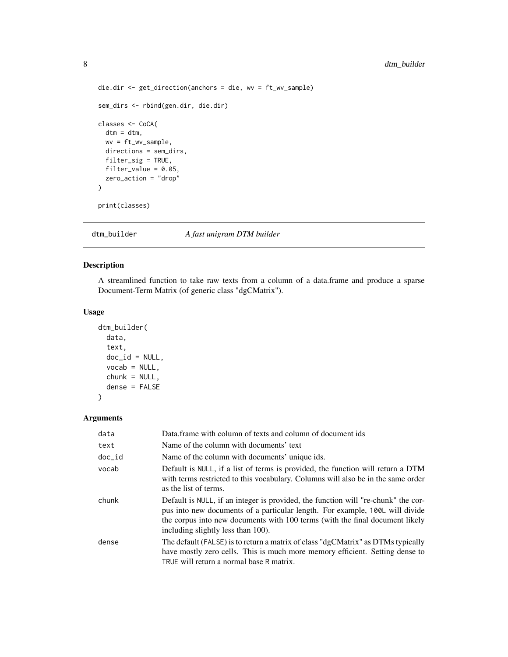```
die.dir <- get_direction(anchors = die, wv = ft_wv_sample)
sem_dirs <- rbind(gen.dir, die.dir)
classes <- CoCA(
 dtm = dtm,
  wv = ft_wv_sample,
  directions = sem_dirs,
  filter_sig = TRUE,
  filter_value = 0.05,
  zero_action = "drop"
\mathcal{L}print(classes)
```
<span id="page-7-1"></span>dtm\_builder *A fast unigram DTM builder*

#### Description

A streamlined function to take raw texts from a column of a data.frame and produce a sparse Document-Term Matrix (of generic class "dgCMatrix").

#### Usage

```
dtm_builder(
  data,
  text,
  doc_id = NULL,vocab = NULL,chunk = NULL,
  dense = FALSE
\mathcal{L}
```
#### Arguments

| data     | Data frame with column of texts and column of document ids                                                                                                                                                                                                                              |
|----------|-----------------------------------------------------------------------------------------------------------------------------------------------------------------------------------------------------------------------------------------------------------------------------------------|
| text     | Name of the column with documents' text                                                                                                                                                                                                                                                 |
| $doc_id$ | Name of the column with documents' unique ids.                                                                                                                                                                                                                                          |
| vocab    | Default is NULL, if a list of terms is provided, the function will return a DTM<br>with terms restricted to this vocabulary. Columns will also be in the same order<br>as the list of terms.                                                                                            |
| chunk    | Default is NULL, if an integer is provided, the function will "re-chunk" the cor-<br>pus into new documents of a particular length. For example, 100L will divide<br>the corpus into new documents with 100 terms (with the final document likely<br>including slightly less than 100). |
| dense    | The default (FALSE) is to return a matrix of class "dgCMatrix" as DTMs typically<br>have mostly zero cells. This is much more memory efficient. Setting dense to<br>TRUE will return a normal base R matrix.                                                                            |

<span id="page-7-0"></span>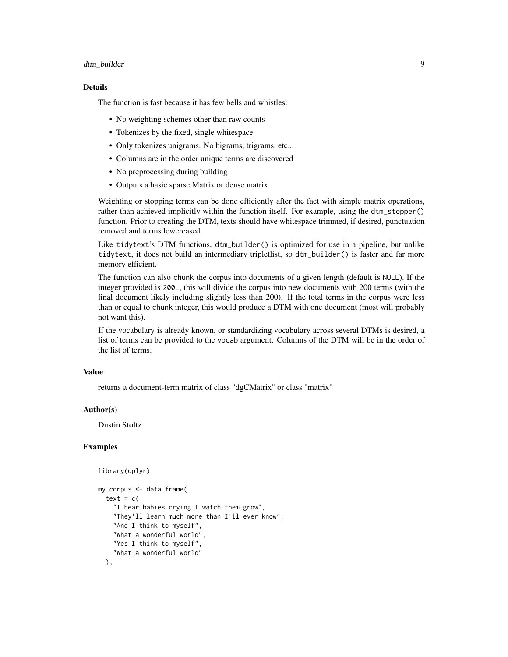#### dtm\_builder 9

#### Details

The function is fast because it has few bells and whistles:

- No weighting schemes other than raw counts
- Tokenizes by the fixed, single whitespace
- Only tokenizes unigrams. No bigrams, trigrams, etc...
- Columns are in the order unique terms are discovered
- No preprocessing during building
- Outputs a basic sparse Matrix or dense matrix

Weighting or stopping terms can be done efficiently after the fact with simple matrix operations, rather than achieved implicitly within the function itself. For example, using the dtm\_stopper() function. Prior to creating the DTM, texts should have whitespace trimmed, if desired, punctuation removed and terms lowercased.

Like tidytext's DTM functions, dtm\_builder() is optimized for use in a pipeline, but unlike tidytext, it does not build an intermediary tripletlist, so dtm\_builder() is faster and far more memory efficient.

The function can also chunk the corpus into documents of a given length (default is NULL). If the integer provided is 200L, this will divide the corpus into new documents with 200 terms (with the final document likely including slightly less than 200). If the total terms in the corpus were less than or equal to chunk integer, this would produce a DTM with one document (most will probably not want this).

If the vocabulary is already known, or standardizing vocabulary across several DTMs is desired, a list of terms can be provided to the vocab argument. Columns of the DTM will be in the order of the list of terms.

#### Value

returns a document-term matrix of class "dgCMatrix" or class "matrix"

#### Author(s)

Dustin Stoltz

#### Examples

```
library(dplyr)
```

```
my.corpus <- data.frame(
 text = c("I hear babies crying I watch them grow",
    "They'll learn much more than I'll ever know",
    "And I think to myself",
    "What a wonderful world",
    "Yes I think to myself",
    "What a wonderful world"
 ),
```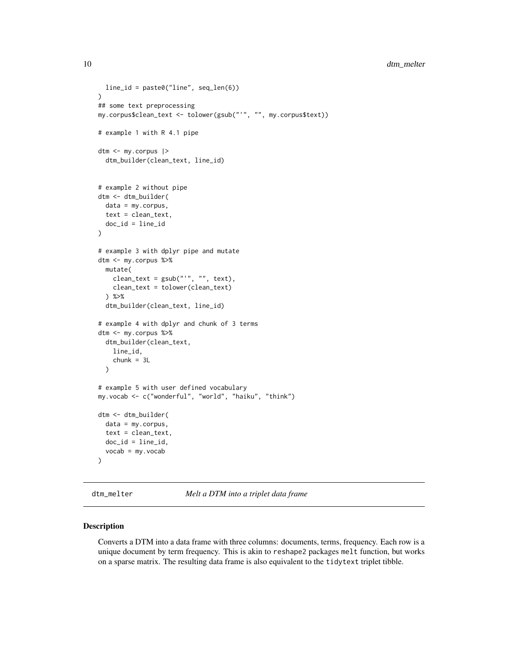```
line_id = paste0("line", seq_len(6))
)
## some text preprocessing
my.corpus$clean_text <- tolower(gsub("'", "", my.corpus$text))
# example 1 with R 4.1 pipe
dtm <- my.corpus |>
  dtm_builder(clean_text, line_id)
# example 2 without pipe
dtm <- dtm_builder(
  data = my.corpus,
  text = clean_text,
  doc_id = line_id
)
# example 3 with dplyr pipe and mutate
dtm <- my.corpus %>%
  mutate(
    clean\_text = gsub("''", "", text),clean_text = tolower(clean_text)
  ) %>%
  dtm_builder(clean_text, line_id)
# example 4 with dplyr and chunk of 3 terms
dtm <- my.corpus %>%
  dtm_builder(clean_text,
   line_id,
    chunk = 3L
  )
# example 5 with user defined vocabulary
my.vocab <- c("wonderful", "world", "haiku", "think")
dtm <- dtm_builder(
  data = my.corpus,
  text = clean_text,
  doc_id = line_id,vocab = my.vocab
)
```
dtm\_melter *Melt a DTM into a triplet data frame*

#### Description

Converts a DTM into a data frame with three columns: documents, terms, frequency. Each row is a unique document by term frequency. This is akin to reshape2 packages melt function, but works on a sparse matrix. The resulting data frame is also equivalent to the tidytext triplet tibble.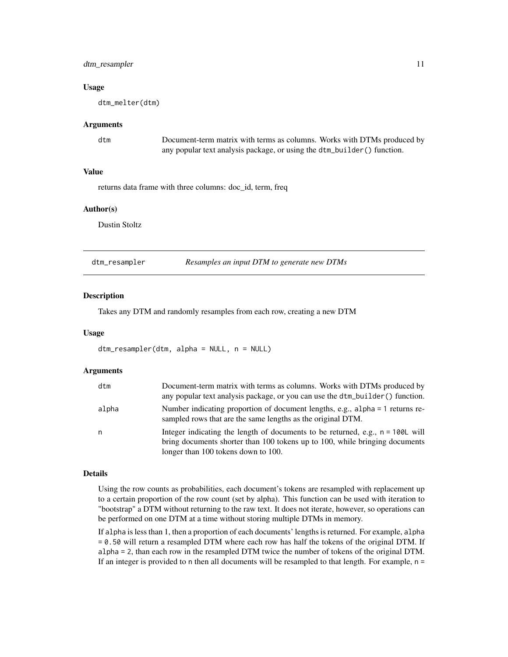#### <span id="page-10-0"></span>dtm\_resampler 11

#### Usage

dtm\_melter(dtm)

#### Arguments

| dtm | Document-term matrix with terms as columns. Works with DTMs produced by |
|-----|-------------------------------------------------------------------------|
|     | any popular text analysis package, or using the dtm_builder() function. |

#### Value

returns data frame with three columns: doc\_id, term, freq

#### Author(s)

Dustin Stoltz

dtm\_resampler *Resamples an input DTM to generate new DTMs*

#### Description

Takes any DTM and randomly resamples from each row, creating a new DTM

#### Usage

```
dtm_resampler(dtm, alpha = NULL, n = NULL)
```
#### Arguments

| dtm   | Document-term matrix with terms as columns. Works with DTMs produced by<br>any popular text analysis package, or you can use the dtm_builder () function.                                               |
|-------|---------------------------------------------------------------------------------------------------------------------------------------------------------------------------------------------------------|
| alpha | Number indicating proportion of document lengths, e.g., alpha $= 1$ returns re-<br>sampled rows that are the same lengths as the original DTM.                                                          |
| n     | Integer indicating the length of documents to be returned, e.g., $n = 100$ L will<br>bring documents shorter than 100 tokens up to 100, while bringing documents<br>longer than 100 tokens down to 100. |

#### Details

Using the row counts as probabilities, each document's tokens are resampled with replacement up to a certain proportion of the row count (set by alpha). This function can be used with iteration to "bootstrap" a DTM without returning to the raw text. It does not iterate, however, so operations can be performed on one DTM at a time without storing multiple DTMs in memory.

If alpha is less than 1, then a proportion of each documents' lengths is returned. For example, alpha = 0.50 will return a resampled DTM where each row has half the tokens of the original DTM. If alpha = 2, than each row in the resampled DTM twice the number of tokens of the original DTM. If an integer is provided to n then all documents will be resampled to that length. For example,  $n =$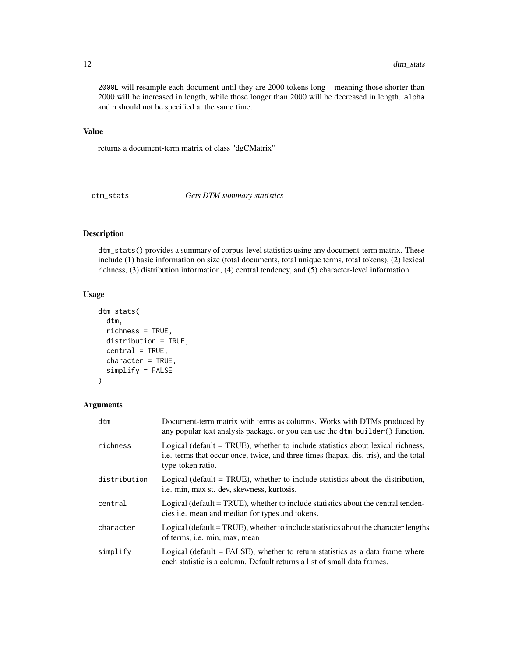2000L will resample each document until they are 2000 tokens long – meaning those shorter than 2000 will be increased in length, while those longer than 2000 will be decreased in length. alpha and n should not be specified at the same time.

#### Value

returns a document-term matrix of class "dgCMatrix"

dtm\_stats *Gets DTM summary statistics*

#### Description

dtm\_stats() provides a summary of corpus-level statistics using any document-term matrix. These include (1) basic information on size (total documents, total unique terms, total tokens), (2) lexical richness, (3) distribution information, (4) central tendency, and (5) character-level information.

#### Usage

```
dtm_stats(
  dtm,
  richness = TRUE,
  distribution = TRUE,
  central = TRUE,
  character = TRUE,
  simplify = FALSE
)
```

```
Arguments
```

| dtm          | Document-term matrix with terms as columns. Works with DTMs produced by<br>any popular text analysis package, or you can use the dtm_builder() function.                                     |
|--------------|----------------------------------------------------------------------------------------------------------------------------------------------------------------------------------------------|
| richness     | Logical (default = TRUE), whether to include statistics about lexical richness,<br>i.e. terms that occur once, twice, and three times (hapax, dis, tris), and the total<br>type-token ratio. |
| distribution | Logical (default $= \text{TRUE}$ ), whether to include statistics about the distribution,<br>i.e. min, max st. dev, skewness, kurtosis.                                                      |
| central      | Logical (default = TRUE), whether to include statistics about the central tenden-<br>cies <i>i.e.</i> mean and median for types and tokens.                                                  |
| character    | Logical (default = TRUE), whether to include statistics about the character lengths<br>of terms, <i>i.e.</i> min, max, mean                                                                  |
| simplify     | Logical (default $=$ FALSE), whether to return statistics as a data frame where<br>each statistic is a column. Default returns a list of small data frames.                                  |

<span id="page-11-0"></span>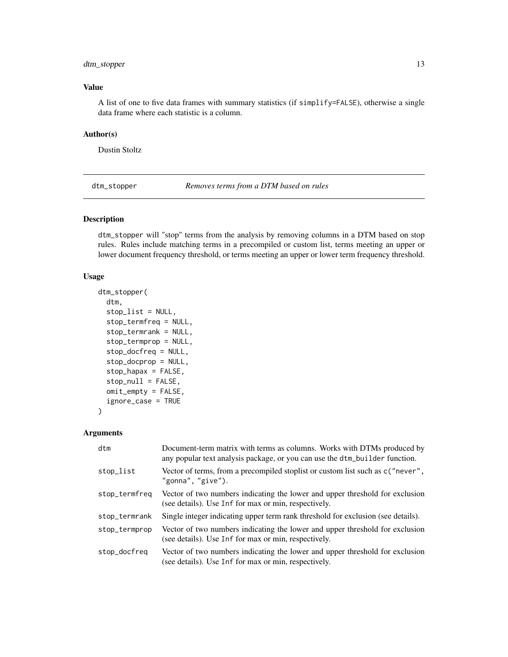#### <span id="page-12-0"></span>dtm\_stopper 13

#### Value

A list of one to five data frames with summary statistics (if simplify=FALSE), otherwise a single data frame where each statistic is a column.

#### Author(s)

Dustin Stoltz

dtm\_stopper *Removes terms from a DTM based on rules*

#### Description

dtm\_stopper will "stop" terms from the analysis by removing columns in a DTM based on stop rules. Rules include matching terms in a precompiled or custom list, terms meeting an upper or lower document frequency threshold, or terms meeting an upper or lower term frequency threshold.

#### Usage

```
dtm_stopper(
  dtm,
  stop_list = NULL,
  stop_termfreq = NULL,
  stop_termrank = NULL,
  stop_termprop = NULL,
  stop_docfreq = NULL,
  stop_docprop = NULL,
  stop_hapax = FALSE,
  stop\_null = FALSE,omit_empty = FALSE,
  ignore_case = TRUE
```

```
)
```
#### Arguments

| dtm           | Document-term matrix with terms as columns. Works with DTMs produced by<br>any popular text analysis package, or you can use the dtm_builder function. |
|---------------|--------------------------------------------------------------------------------------------------------------------------------------------------------|
| stop_list     | Vector of terms, from a precompiled stoplist or custom list such as $c$ ("never",<br>"gonna", "give").                                                 |
| stop_termfreq | Vector of two numbers indicating the lower and upper threshold for exclusion<br>(see details). Use Inf for max or min, respectively.                   |
| stop_termrank | Single integer indicating upper term rank threshold for exclusion (see details).                                                                       |
| stop_termprop | Vector of two numbers indicating the lower and upper threshold for exclusion<br>(see details). Use Inf for max or min, respectively.                   |
| stop_docfreq  | Vector of two numbers indicating the lower and upper threshold for exclusion<br>(see details). Use Inf for max or min, respectively.                   |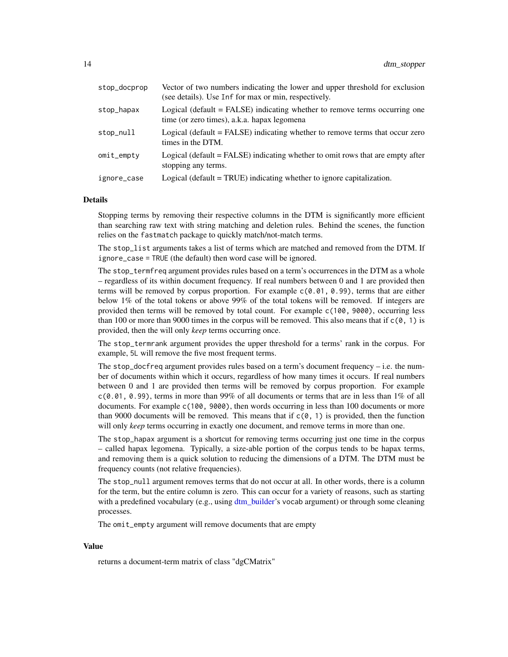<span id="page-13-0"></span>

| stop_docprop  | Vector of two numbers indicating the lower and upper threshold for exclusion<br>(see details). Use Inf for max or min, respectively. |
|---------------|--------------------------------------------------------------------------------------------------------------------------------------|
| stop_hapax    | Logical (default = FALSE) indicating whether to remove terms occurring one<br>time (or zero times), a.k.a. hapax legomena            |
| stop_null     | Logical (default = FALSE) indicating whether to remove terms that occur zero<br>times in the DTM.                                    |
| $omit$ _empty | Logical ( $default = FALSE$ ) indicating whether to omit rows that are empty after<br>stopping any terms.                            |
| ignore_case   | Logical (default = TRUE) indicating whether to ignore capitalization.                                                                |

#### Details

Stopping terms by removing their respective columns in the DTM is significantly more efficient than searching raw text with string matching and deletion rules. Behind the scenes, the function relies on the fastmatch package to quickly match/not-match terms.

The stop\_list arguments takes a list of terms which are matched and removed from the DTM. If ignore\_case = TRUE (the default) then word case will be ignored.

The stop\_termfreq argument provides rules based on a term's occurrences in the DTM as a whole – regardless of its within document frequency. If real numbers between 0 and 1 are provided then terms will be removed by corpus proportion. For example  $c(0.01, 0.99)$ , terms that are either below 1% of the total tokens or above 99% of the total tokens will be removed. If integers are provided then terms will be removed by total count. For example c(100, 9000), occurring less than 100 or more than 9000 times in the corpus will be removed. This also means that if  $c(0, 1)$  is provided, then the will only *keep* terms occurring once.

The stop\_termrank argument provides the upper threshold for a terms' rank in the corpus. For example, 5L will remove the five most frequent terms.

The stop\_docfreq argument provides rules based on a term's document frequency  $-$  i.e. the number of documents within which it occurs, regardless of how many times it occurs. If real numbers between 0 and 1 are provided then terms will be removed by corpus proportion. For example  $c(0.01, 0.99)$ , terms in more than 99% of all documents or terms that are in less than 1% of all documents. For example c(100, 9000), then words occurring in less than 100 documents or more than 9000 documents will be removed. This means that if  $c(\theta, 1)$  is provided, then the function will only *keep* terms occurring in exactly one document, and remove terms in more than one.

The stop\_hapax argument is a shortcut for removing terms occurring just one time in the corpus – called hapax legomena. Typically, a size-able portion of the corpus tends to be hapax terms, and removing them is a quick solution to reducing the dimensions of a DTM. The DTM must be frequency counts (not relative frequencies).

The stop\_null argument removes terms that do not occur at all. In other words, there is a column for the term, but the entire column is zero. This can occur for a variety of reasons, such as starting with a predefined vocabulary (e.g., using [dtm\\_builder'](#page-7-1)s vocab argument) or through some cleaning processes.

The omit\_empty argument will remove documents that are empty

#### Value

returns a document-term matrix of class "dgCMatrix"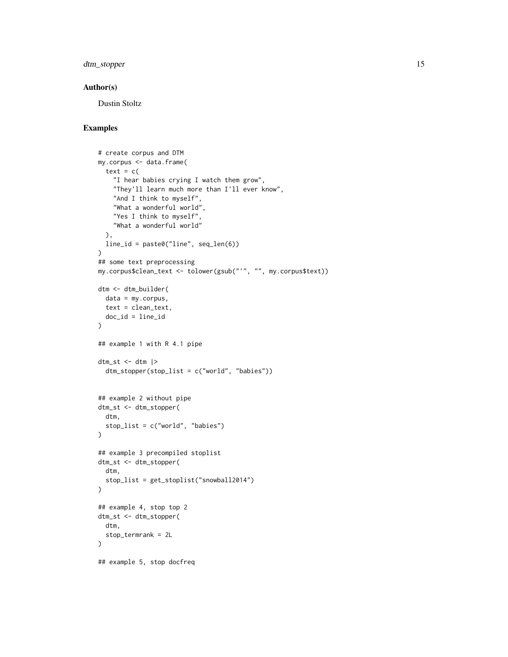#### dtm\_stopper 15

#### Author(s)

Dustin Stoltz

#### Examples

```
# create corpus and DTM
my.corpus <- data.frame(
  text = c("I hear babies crying I watch them grow",
    "They'll learn much more than I'll ever know",
    "And I think to myself",
    "What a wonderful world",
   "Yes I think to myself",
    "What a wonderful world"
  ),
 line_id = paste0("line", seq_len(6))
\lambda## some text preprocessing
my.corpus$clean_text <- tolower(gsub("'", "", my.corpus$text))
dtm <- dtm_builder(
 data = my.corpus,
 text = clean_text,
  doc_id = line_id
)
## example 1 with R 4.1 pipe
dtm_st <- dtm |>
  dtm_stopper(stop_list = c("world", "babies"))
## example 2 without pipe
dtm_st <- dtm_stopper(
  dtm,
  stop_list = c("world", "babies")
)
## example 3 precompiled stoplist
dtm_st <- dtm_stopper(
 dtm,
  stop_list = get_stoplist("snowball2014")
\lambda## example 4, stop top 2
dtm_st <- dtm_stopper(
 dtm,
  stop_termrank = 2L
)
## example 5, stop docfreq
```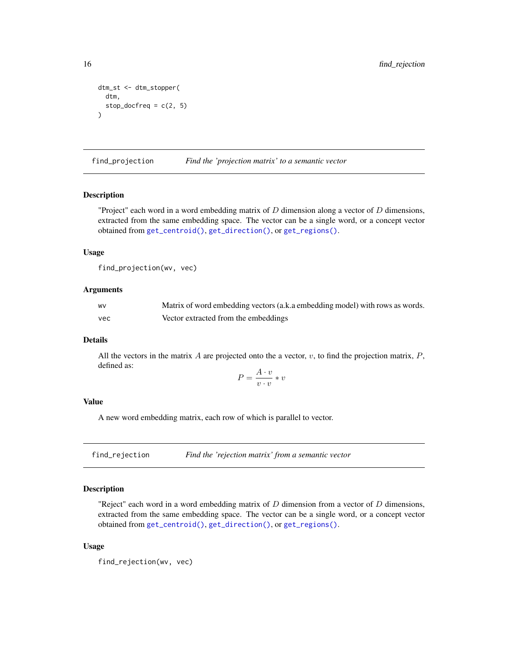```
dtm_st <- dtm_stopper(
  dtm,
  stop_docfreq = c(2, 5)\lambda
```
find\_projection *Find the 'projection matrix' to a semantic vector*

#### Description

"Project" each word in a word embedding matrix of  $D$  dimension along a vector of  $D$  dimensions, extracted from the same embedding space. The vector can be a single word, or a concept vector obtained from [get\\_centroid\(\)](#page-19-1), [get\\_direction\(\)](#page-20-1), or [get\\_regions\(\)](#page-22-1).

#### Usage

```
find_projection(wv, vec)
```
#### Arguments

| wv    | Matrix of word embedding vectors (a.k.a embedding model) with rows as words. |
|-------|------------------------------------------------------------------------------|
| - vec | Vector extracted from the embeddings                                         |

#### Details

All the vectors in the matrix  $A$  are projected onto the a vector,  $v$ , to find the projection matrix,  $P$ , defined as:

$$
P = \frac{A \cdot v}{v \cdot v} * v
$$

#### Value

A new word embedding matrix, each row of which is parallel to vector.

find\_rejection *Find the 'rejection matrix' from a semantic vector*

#### Description

"Reject" each word in a word embedding matrix of  $D$  dimension from a vector of  $D$  dimensions, extracted from the same embedding space. The vector can be a single word, or a concept vector obtained from [get\\_centroid\(\)](#page-19-1), [get\\_direction\(\)](#page-20-1), or [get\\_regions\(\)](#page-22-1).

#### Usage

find\_rejection(wv, vec)

<span id="page-15-0"></span>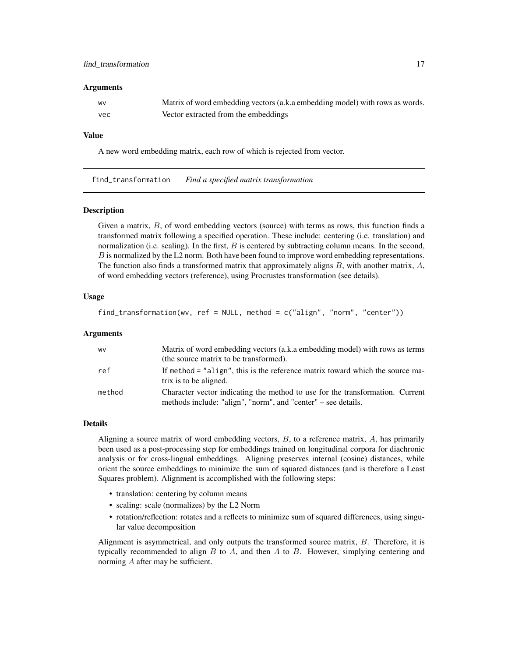#### <span id="page-16-0"></span>Arguments

| WV  | Matrix of word embedding vectors (a.k.a embedding model) with rows as words. |
|-----|------------------------------------------------------------------------------|
| vec | Vector extracted from the embeddings                                         |

#### Value

A new word embedding matrix, each row of which is rejected from vector.

find\_transformation *Find a specified matrix transformation*

#### Description

Given a matrix,  $B$ , of word embedding vectors (source) with terms as rows, this function finds a transformed matrix following a specified operation. These include: centering (i.e. translation) and normalization (i.e. scaling). In the first,  $B$  is centered by subtracting column means. In the second,  $B$  is normalized by the L2 norm. Both have been found to improve word embedding representations. The function also finds a transformed matrix that approximately aligns  $B$ , with another matrix,  $A$ , of word embedding vectors (reference), using Procrustes transformation (see details).

#### Usage

find\_transformation(wv, ref = NULL, method = c("align", "norm", "center"))

#### Arguments

| WV     | Matrix of word embedding vectors (a.k.a embedding model) with rows as terms<br>(the source matrix to be transformed).                          |
|--------|------------------------------------------------------------------------------------------------------------------------------------------------|
| ref    | If method = "align", this is the reference matrix toward which the source ma-<br>trix is to be aligned.                                        |
| method | Character vector indicating the method to use for the transformation. Current<br>methods include: "align", "norm", and "center" – see details. |

#### Details

Aligning a source matrix of word embedding vectors,  $B$ , to a reference matrix,  $A$ , has primarily been used as a post-processing step for embeddings trained on longitudinal corpora for diachronic analysis or for cross-lingual embeddings. Aligning preserves internal (cosine) distances, while orient the source embeddings to minimize the sum of squared distances (and is therefore a Least Squares problem). Alignment is accomplished with the following steps:

- translation: centering by column means
- scaling: scale (normalizes) by the L2 Norm
- rotation/reflection: rotates and a reflects to minimize sum of squared differences, using singular value decomposition

Alignment is asymmetrical, and only outputs the transformed source matrix, B. Therefore, it is typically recommended to align  $B$  to  $A$ , and then  $A$  to  $B$ . However, simplying centering and norming A after may be sufficient.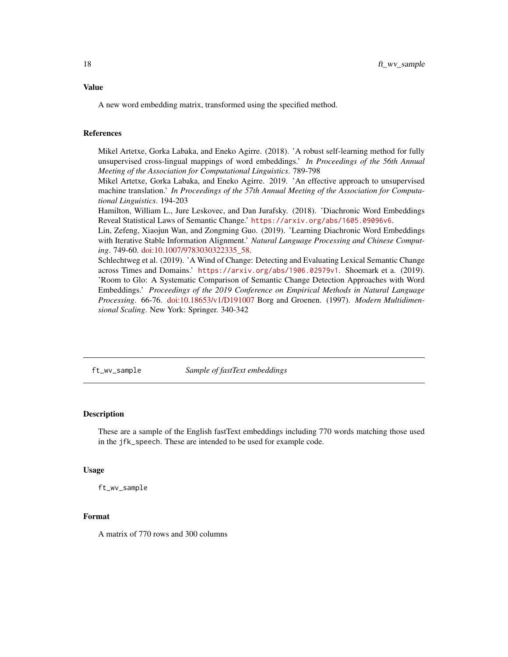<span id="page-17-0"></span>A new word embedding matrix, transformed using the specified method.

#### References

Mikel Artetxe, Gorka Labaka, and Eneko Agirre. (2018). 'A robust self-learning method for fully unsupervised cross-lingual mappings of word embeddings.' *In Proceedings of the 56th Annual Meeting of the Association for Computational Linguistics*. 789-798

Mikel Artetxe, Gorka Labaka, and Eneko Agirre. 2019. 'An effective approach to unsupervised machine translation.' *In Proceedings of the 57th Annual Meeting of the Association for Computational Linguistics*. 194-203

Hamilton, William L., Jure Leskovec, and Dan Jurafsky. (2018). 'Diachronic Word Embeddings Reveal Statistical Laws of Semantic Change.' <https://arxiv.org/abs/1605.09096v6>.

Lin, Zefeng, Xiaojun Wan, and Zongming Guo. (2019). 'Learning Diachronic Word Embeddings with Iterative Stable Information Alignment.' *Natural Language Processing and Chinese Computing*. 749-60. [doi:10.1007/9783030322335\\_58.](https://doi.org/10.1007/978-3-030-32233-5_58)

Schlechtweg et al. (2019). 'A Wind of Change: Detecting and Evaluating Lexical Semantic Change across Times and Domains.' <https://arxiv.org/abs/1906.02979v1>. Shoemark et a. (2019). 'Room to Glo: A Systematic Comparison of Semantic Change Detection Approaches with Word Embeddings.' *Proceedings of the 2019 Conference on Empirical Methods in Natural Language Processing*. 66-76. [doi:10.18653/v1/D191007](https://doi.org/10.18653/v1/D19-1007) Borg and Groenen. (1997). *Modern Multidimensional Scaling*. New York: Springer. 340-342

ft\_wv\_sample *Sample of fastText embeddings*

#### Description

These are a sample of the English fastText embeddings including 770 words matching those used in the jfk\_speech. These are intended to be used for example code.

#### Usage

ft\_wv\_sample

#### Format

A matrix of 770 rows and 300 columns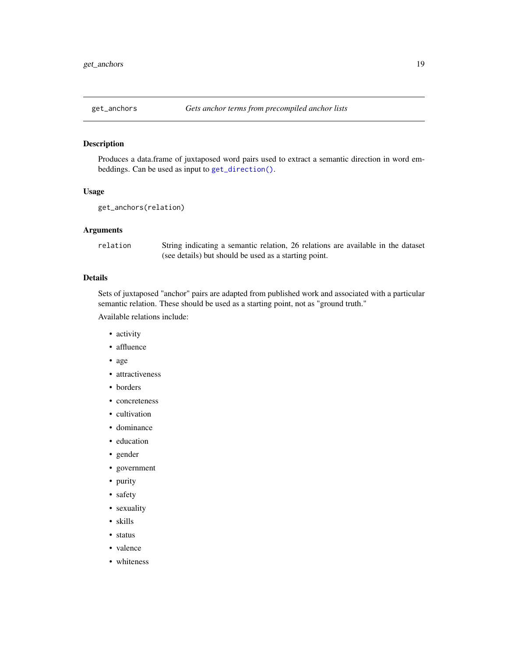#### <span id="page-18-1"></span><span id="page-18-0"></span>Description

Produces a data.frame of juxtaposed word pairs used to extract a semantic direction in word embeddings. Can be used as input to [get\\_direction\(\)](#page-20-1).

#### Usage

```
get_anchors(relation)
```
#### Arguments

| relation | String indicating a semantic relation, 26 relations are available in the dataset |
|----------|----------------------------------------------------------------------------------|
|          | (see details) but should be used as a starting point.                            |

#### Details

Sets of juxtaposed "anchor" pairs are adapted from published work and associated with a particular semantic relation. These should be used as a starting point, not as "ground truth."

Available relations include:

- activity
- affluence
- age
- attractiveness
- borders
- concreteness
- cultivation
- dominance
- education
- gender
- government
- purity
- safety
- sexuality
- skills
- status
- valence
- whiteness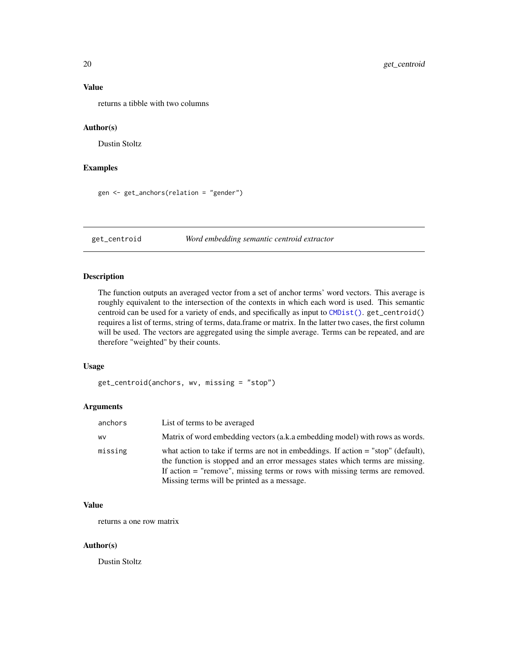#### Value

returns a tibble with two columns

#### Author(s)

Dustin Stoltz

#### Examples

gen <- get\_anchors(relation = "gender")

<span id="page-19-1"></span>get\_centroid *Word embedding semantic centroid extractor*

#### Description

The function outputs an averaged vector from a set of anchor terms' word vectors. This average is roughly equivalent to the intersection of the contexts in which each word is used. This semantic centroid can be used for a variety of ends, and specifically as input to [CMDist\(\)](#page-2-1). get\_centroid() requires a list of terms, string of terms, data.frame or matrix. In the latter two cases, the first column will be used. The vectors are aggregated using the simple average. Terms can be repeated, and are therefore "weighted" by their counts.

#### Usage

get\_centroid(anchors, wv, missing = "stop")

#### Arguments

| anchors | List of terms to be averaged                                                                                                                                                                                                                                                                       |
|---------|----------------------------------------------------------------------------------------------------------------------------------------------------------------------------------------------------------------------------------------------------------------------------------------------------|
| WV      | Matrix of word embedding vectors (a.k.a embedding model) with rows as words.                                                                                                                                                                                                                       |
| missing | what action to take if terms are not in embeddings. If action $=$ "stop" (default),<br>the function is stopped and an error messages states which terms are missing.<br>If action = "remove", missing terms or rows with missing terms are removed.<br>Missing terms will be printed as a message. |

#### Value

returns a one row matrix

#### Author(s)

Dustin Stoltz

<span id="page-19-0"></span>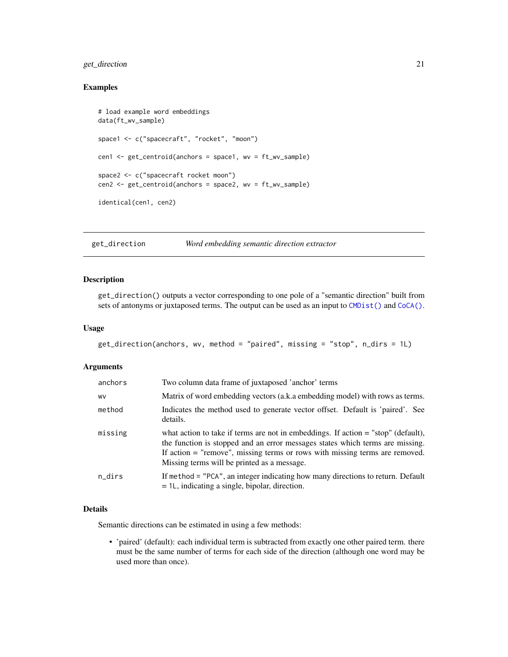#### <span id="page-20-0"></span>get\_direction 21

#### Examples

```
# load example word embeddings
data(ft_wv_sample)
space1 <- c("spacecraft", "rocket", "moon")
cen1 <- get_centroid(anchors = space1, wv = ft_wv_sample)
space2 <- c("spacecraft rocket moon")
cen2 <- get_centroid(anchors = space2, wv = ft_wv_sample)
identical(cen1, cen2)
```
<span id="page-20-1"></span>get\_direction *Word embedding semantic direction extractor*

#### Description

get\_direction() outputs a vector corresponding to one pole of a "semantic direction" built from sets of antonyms or juxtaposed terms. The output can be used as an input to [CMDist\(\)](#page-2-1) and [CoCA\(\)](#page-5-1).

#### Usage

```
get_direction(anchors, wv, method = "paired", missing = "stop", n_dirs = 1L)
```
#### Arguments

| anchors | Two column data frame of juxtaposed 'anchor' terms                                                                                                                                                                                                                                                   |
|---------|------------------------------------------------------------------------------------------------------------------------------------------------------------------------------------------------------------------------------------------------------------------------------------------------------|
| WV      | Matrix of word embedding vectors (a.k.a embedding model) with rows as terms.                                                                                                                                                                                                                         |
| method  | Indicates the method used to generate vector offset. Default is 'paired'. See<br>details.                                                                                                                                                                                                            |
| missing | what action to take if terms are not in embeddings. If action $=$ "stop" (default),<br>the function is stopped and an error messages states which terms are missing.<br>If action $=$ "remove", missing terms or rows with missing terms are removed.<br>Missing terms will be printed as a message. |
| n_dirs  | If method = "PCA", an integer indicating how many directions to return. Default<br>$= 1L$ , indicating a single, bipolar, direction.                                                                                                                                                                 |

#### Details

Semantic directions can be estimated in using a few methods:

• 'paired' (default): each individual term is subtracted from exactly one other paired term. there must be the same number of terms for each side of the direction (although one word may be used more than once).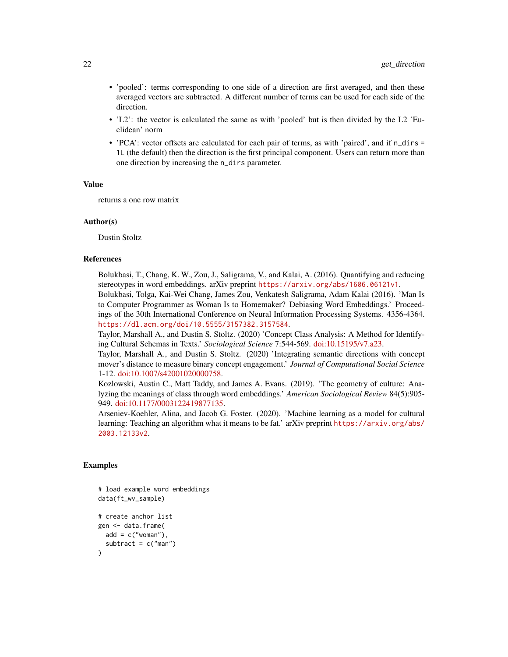- 'pooled': terms corresponding to one side of a direction are first averaged, and then these averaged vectors are subtracted. A different number of terms can be used for each side of the direction.
- 'L2': the vector is calculated the same as with 'pooled' but is then divided by the L2 'Euclidean' norm
- 'PCA': vector offsets are calculated for each pair of terms, as with 'paired', and if n\_dirs = 1L (the default) then the direction is the first principal component. Users can return more than one direction by increasing the n\_dirs parameter.

#### Value

returns a one row matrix

#### Author(s)

Dustin Stoltz

#### References

Bolukbasi, T., Chang, K. W., Zou, J., Saligrama, V., and Kalai, A. (2016). Quantifying and reducing stereotypes in word embeddings. arXiv preprint <https://arxiv.org/abs/1606.06121v1>.

Bolukbasi, Tolga, Kai-Wei Chang, James Zou, Venkatesh Saligrama, Adam Kalai (2016). 'Man Is to Computer Programmer as Woman Is to Homemaker? Debiasing Word Embeddings.' Proceedings of the 30th International Conference on Neural Information Processing Systems. 4356-4364. <https://dl.acm.org/doi/10.5555/3157382.3157584>.

Taylor, Marshall A., and Dustin S. Stoltz. (2020) 'Concept Class Analysis: A Method for Identifying Cultural Schemas in Texts.' *Sociological Science* 7:544-569. [doi:10.15195/v7.a23.](https://doi.org/10.15195/v7.a23)

Taylor, Marshall A., and Dustin S. Stoltz. (2020) 'Integrating semantic directions with concept mover's distance to measure binary concept engagement.' *Journal of Computational Social Science* 1-12. [doi:10.1007/s42001020000758.](https://doi.org/10.1007/s42001-020-00075-8)

Kozlowski, Austin C., Matt Taddy, and James A. Evans. (2019). 'The geometry of culture: Analyzing the meanings of class through word embeddings.' *American Sociological Review* 84(5):905- 949. [doi:10.1177/0003122419877135.](https://doi.org/10.1177/0003122419877135)

Arseniev-Koehler, Alina, and Jacob G. Foster. (2020). 'Machine learning as a model for cultural learning: Teaching an algorithm what it means to be fat.' arXiv preprint [https://arxiv.org/abs/](https://arxiv.org/abs/2003.12133v2) [2003.12133v2](https://arxiv.org/abs/2003.12133v2).

#### Examples

```
# load example word embeddings
data(ft_wv_sample)
# create anchor list
gen <- data.frame(
 add = c("woman"),
 subtract = c("man"))
```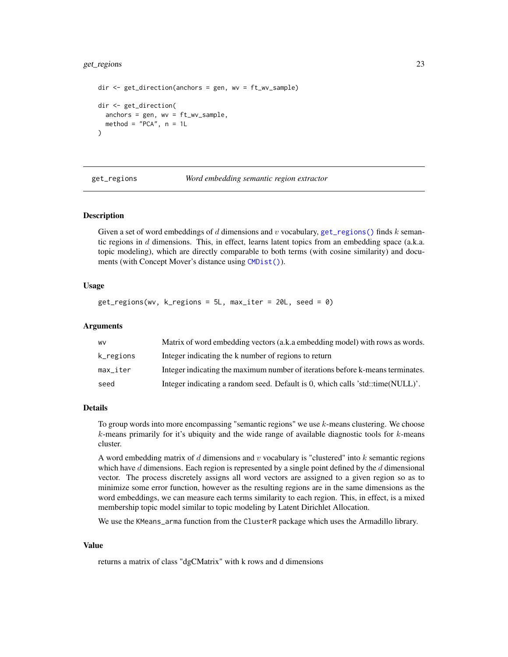#### <span id="page-22-0"></span>get\_regions 23

```
dir <- get_direction(anchors = gen, wv = ft_wv_sample)
dir <- get_direction(
  anchors = gen, w = ft_wv_sample,
  method = "PCA", n = 1L)
```
get\_regions *Word embedding semantic region extractor*

#### **Description**

Given a set of word embeddings of d dimensions and v vocabulary, [get\\_regions\(\)](#page-22-1) finds k semantic regions in  $d$  dimensions. This, in effect, learns latent topics from an embedding space (a.k.a. topic modeling), which are directly comparable to both terms (with cosine similarity) and docu-ments (with Concept Mover's distance using [CMDist\(\)](#page-2-1)).

#### Usage

get\_regions(wv, k\_regions = 5L, max\_iter = 20L, seed = 0)

#### Arguments

| WV        | Matrix of word embedding vectors (a.k.a embedding model) with rows as words.   |
|-----------|--------------------------------------------------------------------------------|
| k_regions | Integer indicating the k number of regions to return                           |
| max_iter  | Integer indicating the maximum number of iterations before k-means terminates. |
| seed      | Integer indicating a random seed. Default is 0, which calls 'std::time(NULL)'. |

#### Details

To group words into more encompassing "semantic regions" we use k-means clustering. We choose  $k$ -means primarily for it's ubiquity and the wide range of available diagnostic tools for  $k$ -means cluster.

A word embedding matrix of d dimensions and v vocabulary is "clustered" into k semantic regions which have  $d$  dimensions. Each region is represented by a single point defined by the  $d$  dimensional vector. The process discretely assigns all word vectors are assigned to a given region so as to minimize some error function, however as the resulting regions are in the same dimensions as the word embeddings, we can measure each terms similarity to each region. This, in effect, is a mixed membership topic model similar to topic modeling by Latent Dirichlet Allocation.

We use the KMeans\_arma function from the ClusterR package which uses the Armadillo library.

#### Value

returns a matrix of class "dgCMatrix" with k rows and d dimensions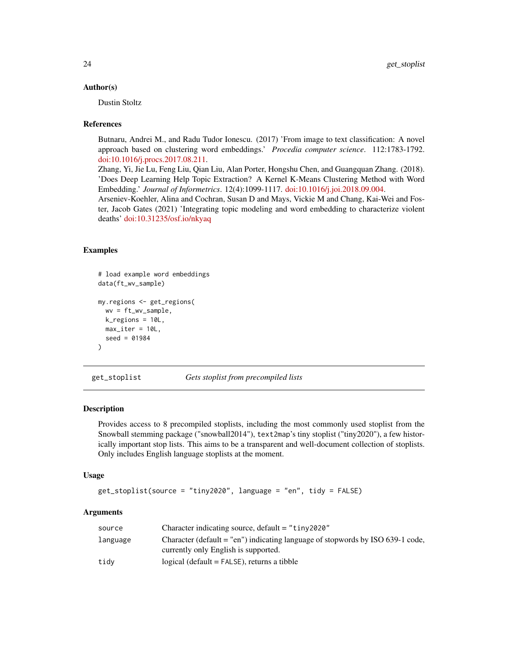#### <span id="page-23-0"></span>Author(s)

Dustin Stoltz

#### References

Butnaru, Andrei M., and Radu Tudor Ionescu. (2017) 'From image to text classification: A novel approach based on clustering word embeddings.' *Procedia computer science*. 112:1783-1792. [doi:10.1016/j.procs.2017.08.211.](https://doi.org/10.1016/j.procs.2017.08.211)

Zhang, Yi, Jie Lu, Feng Liu, Qian Liu, Alan Porter, Hongshu Chen, and Guangquan Zhang. (2018). 'Does Deep Learning Help Topic Extraction? A Kernel K-Means Clustering Method with Word Embedding.' *Journal of Informetrics*. 12(4):1099-1117. [doi:10.1016/j.joi.2018.09.004.](https://doi.org/10.1016/j.joi.2018.09.004)

Arseniev-Koehler, Alina and Cochran, Susan D and Mays, Vickie M and Chang, Kai-Wei and Foster, Jacob Gates (2021) 'Integrating topic modeling and word embedding to characterize violent deaths' [doi:10.31235/osf.io/nkyaq](https://doi.org/10.31235/osf.io/nkyaq)

#### Examples

```
# load example word embeddings
data(ft_wv_sample)
my.regions <- get_regions(
 wv = ft_wv_sample,
 k_regions = 10L,
 max\_iter = 10L,
 seed = 01984
)
```
<span id="page-23-1"></span>get\_stoplist *Gets stoplist from precompiled lists*

#### Description

Provides access to 8 precompiled stoplists, including the most commonly used stoplist from the Snowball stemming package ("snowball2014"), text2map's tiny stoplist ("tiny2020"), a few historically important stop lists. This aims to be a transparent and well-document collection of stoplists. Only includes English language stoplists at the moment.

#### Usage

```
get_stoplist(source = "tiny2020", language = "en", tidy = FALSE)
```
#### Arguments

| source   | Character indicating source, default $=$ "tiny2020"                                                                      |
|----------|--------------------------------------------------------------------------------------------------------------------------|
| language | Character (default = "en") indicating language of stopwords by ISO $639-1$ code,<br>currently only English is supported. |
| tidy     | $logical (default = FALSE)$ , returns a tibble                                                                           |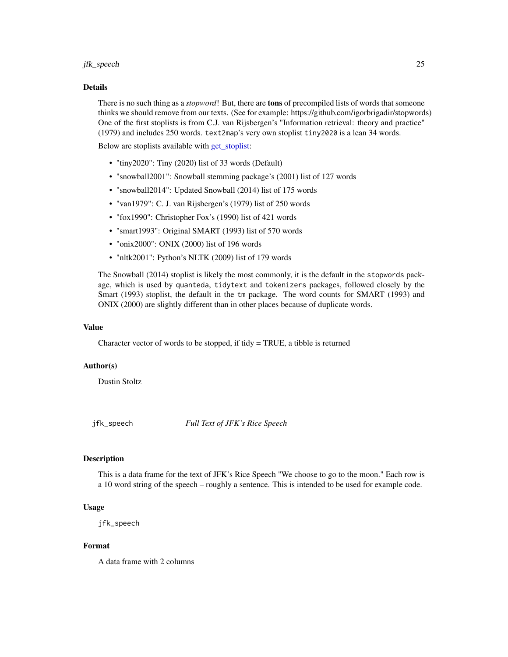#### <span id="page-24-0"></span>jfk\_speech 25

#### Details

There is no such thing as a *stopword*! But, there are tons of precompiled lists of words that someone thinks we should remove from our texts. (See for example: https://github.com/igorbrigadir/stopwords) One of the first stoplists is from C.J. van Rijsbergen's "Information retrieval: theory and practice" (1979) and includes 250 words. text2map's very own stoplist tiny2020 is a lean 34 words.

Below are stoplists available with [get\\_stoplist:](#page-23-1)

- "tiny2020": Tiny (2020) list of 33 words (Default)
- "snowball2001": Snowball stemming package's (2001) list of 127 words
- "snowball2014": Updated Snowball (2014) list of 175 words
- "van1979": C. J. van Rijsbergen's (1979) list of 250 words
- "fox1990": Christopher Fox's (1990) list of 421 words
- "smart1993": Original SMART (1993) list of 570 words
- "onix2000": ONIX (2000) list of 196 words
- "nltk2001": Python's NLTK (2009) list of 179 words

The Snowball (2014) stoplist is likely the most commonly, it is the default in the stopwords package, which is used by quanteda, tidytext and tokenizers packages, followed closely by the Smart (1993) stoplist, the default in the tm package. The word counts for SMART (1993) and ONIX (2000) are slightly different than in other places because of duplicate words.

#### Value

Character vector of words to be stopped, if tidy  $=$  TRUE, a tibble is returned

#### Author(s)

Dustin Stoltz

jfk\_speech *Full Text of JFK's Rice Speech*

#### **Description**

This is a data frame for the text of JFK's Rice Speech "We choose to go to the moon." Each row is a 10 word string of the speech – roughly a sentence. This is intended to be used for example code.

#### Usage

jfk\_speech

#### Format

A data frame with 2 columns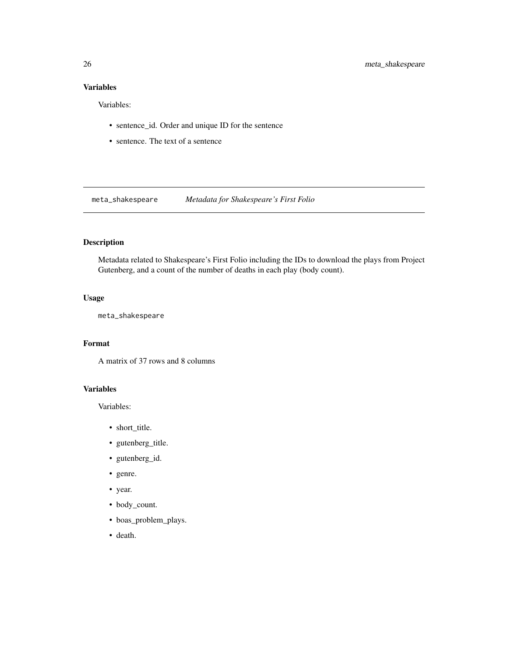#### <span id="page-25-0"></span>Variables

Variables:

- sentence\_id. Order and unique ID for the sentence
- sentence. The text of a sentence

meta\_shakespeare *Metadata for Shakespeare's First Folio*

#### Description

Metadata related to Shakespeare's First Folio including the IDs to download the plays from Project Gutenberg, and a count of the number of deaths in each play (body count).

#### Usage

meta\_shakespeare

#### Format

A matrix of 37 rows and 8 columns

#### Variables

Variables:

- short\_title.
- gutenberg\_title.
- gutenberg\_id.
- genre.
- year.
- body\_count.
- boas\_problem\_plays.
- death.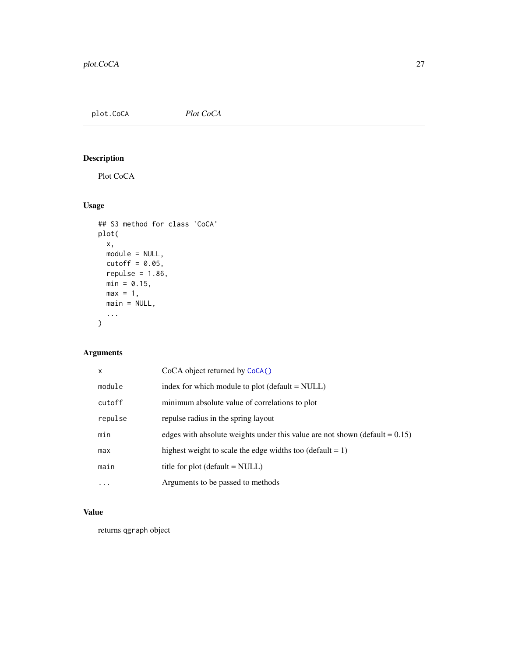<span id="page-26-0"></span>plot.CoCA *Plot CoCA*

## Description

Plot CoCA

#### Usage

```
## S3 method for class 'CoCA'
plot(
  x,
  module = NULL,
  cutoff = 0.05,
  repulse = 1.86,
  min = 0.15,
  max = 1,
  main = NULL,
  ...
)
```
#### Arguments

| $\mathsf{x}$ | CoCA object returned by CoCA()                                                 |
|--------------|--------------------------------------------------------------------------------|
| module       | index for which module to plot $(default = NULL)$                              |
| cutoff       | minimum absolute value of correlations to plot                                 |
| repulse      | repulse radius in the spring layout                                            |
| min          | edges with absolute weights under this value are not shown (default $= 0.15$ ) |
| max          | highest weight to scale the edge widths too (default $= 1$ )                   |
| main         | title for plot (default $=$ NULL)                                              |
| .            | Arguments to be passed to methods                                              |

### Value

returns qgraph object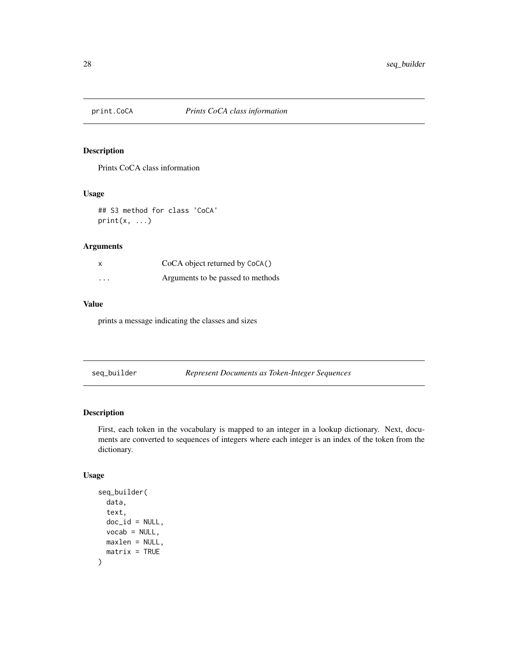<span id="page-27-0"></span>

#### Description

Prints CoCA class information

#### Usage

## S3 method for class 'CoCA'  $print(x, \ldots)$ 

#### Arguments

| X        | CoCA object returned by CoCA()    |
|----------|-----------------------------------|
| $\cdots$ | Arguments to be passed to methods |

#### Value

prints a message indicating the classes and sizes

seq\_builder *Represent Documents as Token-Integer Sequences*

#### Description

First, each token in the vocabulary is mapped to an integer in a lookup dictionary. Next, documents are converted to sequences of integers where each integer is an index of the token from the dictionary.

#### Usage

```
seq_builder(
 data,
  text,
 doc_id = NULL,vocab = NULL,maxlen = NULL,
 matrix = TRUE)
```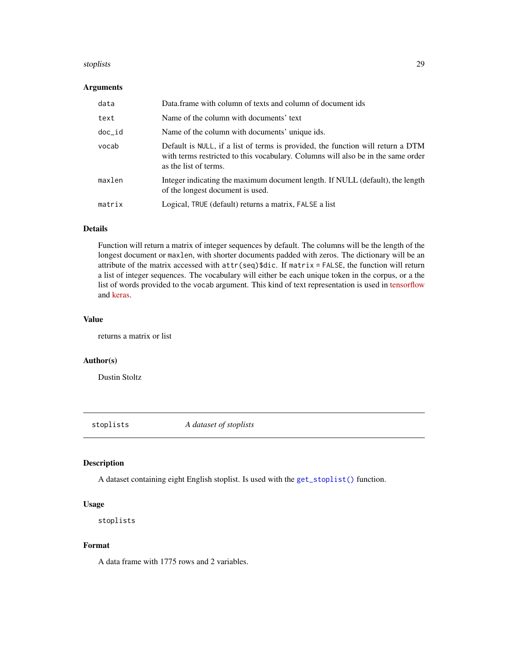#### <span id="page-28-0"></span>stoplists 29

#### Arguments

| data   | Data frame with column of texts and column of document ids                                                                                                                                   |
|--------|----------------------------------------------------------------------------------------------------------------------------------------------------------------------------------------------|
| text   | Name of the column with documents' text                                                                                                                                                      |
| doc_id | Name of the column with documents' unique ids.                                                                                                                                               |
| vocab  | Default is NULL, if a list of terms is provided, the function will return a DTM<br>with terms restricted to this vocabulary. Columns will also be in the same order<br>as the list of terms. |
| maxlen | Integer indicating the maximum document length. If NULL (default), the length<br>of the longest document is used.                                                                            |
| matrix | Logical, TRUE (default) returns a matrix, FALSE a list                                                                                                                                       |

#### Details

Function will return a matrix of integer sequences by default. The columns will be the length of the longest document or maxlen, with shorter documents padded with zeros. The dictionary will be an attribute of the matrix accessed with attr(seq)\$dic. If matrix = FALSE, the function will return a list of integer sequences. The vocabulary will either be each unique token in the corpus, or a the list of words provided to the vocab argument. This kind of text representation is used in [tensorflow](https://www.tensorflow.org/api_docs/python/tf/keras/preprocessing/text/Tokenizer) and [keras.](https://keras.rstudio.com/reference/texts_to_sequences.html)

#### Value

returns a matrix or list

#### Author(s)

Dustin Stoltz

stoplists *A dataset of stoplists*

#### Description

A dataset containing eight English stoplist. Is used with the [get\\_stoplist\(\)](#page-23-1) function.

#### Usage

```
stoplists
```
#### Format

A data frame with 1775 rows and 2 variables.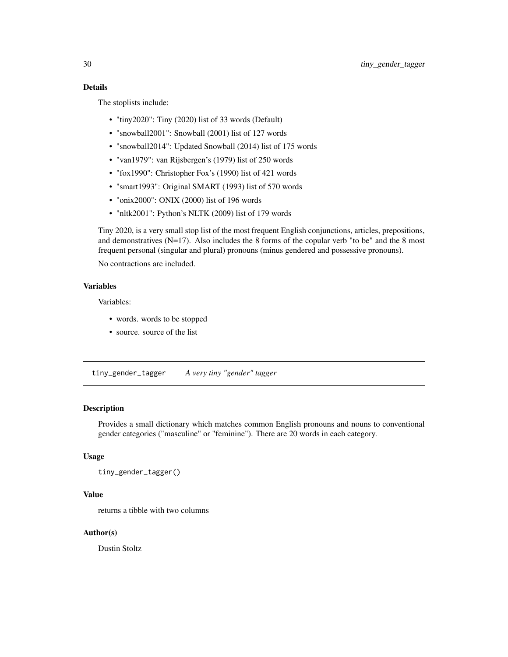#### <span id="page-29-0"></span>Details

The stoplists include:

- "tiny2020": Tiny (2020) list of 33 words (Default)
- "snowball2001": Snowball (2001) list of 127 words
- "snowball2014": Updated Snowball (2014) list of 175 words
- "van1979": van Rijsbergen's (1979) list of 250 words
- "fox1990": Christopher Fox's (1990) list of 421 words
- "smart1993": Original SMART (1993) list of 570 words
- "onix2000": ONIX (2000) list of 196 words
- "nltk2001": Python's NLTK (2009) list of 179 words

Tiny 2020, is a very small stop list of the most frequent English conjunctions, articles, prepositions, and demonstratives  $(N=17)$ . Also includes the 8 forms of the copular verb "to be" and the 8 most frequent personal (singular and plural) pronouns (minus gendered and possessive pronouns).

No contractions are included.

#### Variables

Variables:

- words. words to be stopped
- source. source of the list

tiny\_gender\_tagger *A very tiny "gender" tagger*

#### Description

Provides a small dictionary which matches common English pronouns and nouns to conventional gender categories ("masculine" or "feminine"). There are 20 words in each category.

#### Usage

tiny\_gender\_tagger()

#### Value

returns a tibble with two columns

#### Author(s)

Dustin Stoltz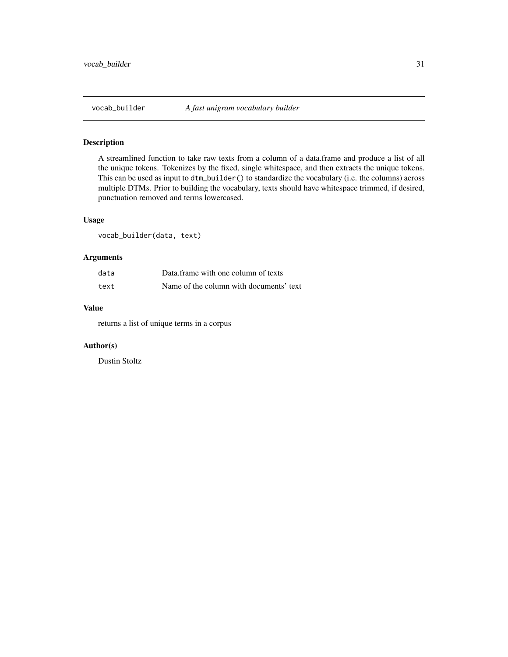<span id="page-30-0"></span>

#### Description

A streamlined function to take raw texts from a column of a data.frame and produce a list of all the unique tokens. Tokenizes by the fixed, single whitespace, and then extracts the unique tokens. This can be used as input to dtm\_builder() to standardize the vocabulary (i.e. the columns) across multiple DTMs. Prior to building the vocabulary, texts should have whitespace trimmed, if desired, punctuation removed and terms lowercased.

#### Usage

vocab\_builder(data, text)

#### Arguments

| data | Data frame with one column of texts     |
|------|-----------------------------------------|
| text | Name of the column with documents' text |

#### Value

returns a list of unique terms in a corpus

#### Author(s)

Dustin Stoltz